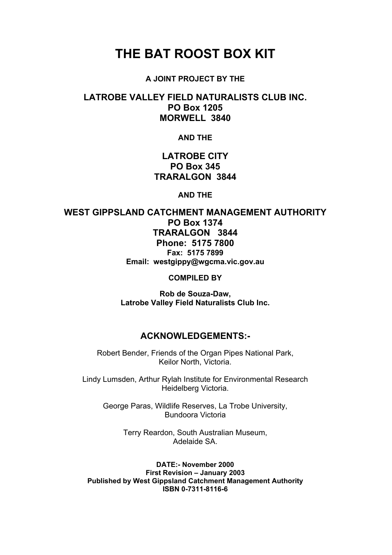# **THE BAT ROOST BOX KIT**

#### **A JOINT PROJECT BY THE**

### **LATROBE VALLEY FIELD NATURALISTS CLUB INC. PO Box 1205 MORWELL 3840**

#### **AND THE**

# **LATROBE CITY PO Box 345 TRARALGON 3844**

**AND THE** 

**WEST GIPPSLAND CATCHMENT MANAGEMENT AUTHORITY PO Box 1374 TRARALGON 3844 Phone: 5175 7800 Fax: 5175 7899 Email: westgippy@wgcma.vic.gov.au COMPILED BY** 

> **Rob de Souza-Daw, Latrobe Valley Field Naturalists Club Inc.**

### **ACKNOWLEDGEMENTS:-**

Robert Bender, Friends of the Organ Pipes National Park, Keilor North, Victoria.

Lindy Lumsden, Arthur Rylah Institute for Environmental Research Heidelberg Victoria.

George Paras, Wildlife Reserves, La Trobe University, Bundoora Victoria

> Terry Reardon, South Australian Museum, Adelaide SA.

**DATE:- November 2000 First Revision – January 2003 Published by West Gippsland Catchment Management Authority ISBN 0-7311-8116-6**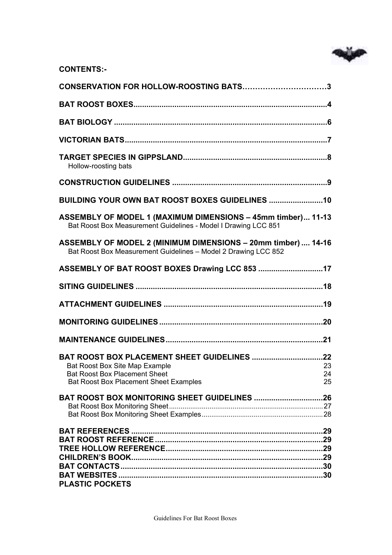

| <b>CONTENTS:-</b> |
|-------------------|
|-------------------|

| CONSERVATION FOR HOLLOW-ROOSTING BATS3                                                                                              |    |
|-------------------------------------------------------------------------------------------------------------------------------------|----|
|                                                                                                                                     |    |
|                                                                                                                                     |    |
|                                                                                                                                     |    |
| Hollow-roosting bats                                                                                                                |    |
|                                                                                                                                     |    |
| BUILDING YOUR OWN BAT ROOST BOXES GUIDELINES 10                                                                                     |    |
| ASSEMBLY OF MODEL 1 (MAXIMUM DIMENSIONS - 45mm timber) 11-13<br>Bat Roost Box Measurement Guidelines - Model I Drawing LCC 851      |    |
| ASSEMBLY OF MODEL 2 (MINIMUM DIMENSIONS - 20mm timber)  14-16<br>Bat Roost Box Measurement Guidelines - Model 2 Drawing LCC 852     |    |
| ASSEMBLY OF BAT ROOST BOXES Drawing LCC 853 17                                                                                      |    |
|                                                                                                                                     |    |
|                                                                                                                                     |    |
|                                                                                                                                     |    |
|                                                                                                                                     |    |
| Bat Roost Box Site Map Example<br>23<br><b>Bat Roost Box Placement Sheet</b><br>24<br><b>Bat Roost Box Placement Sheet Examples</b> | 25 |
| <b>BAT ROOST BOX MONITORING SHEET GUIDELINES 26</b>                                                                                 |    |
|                                                                                                                                     |    |
| <b>PLASTIC POCKETS</b>                                                                                                              |    |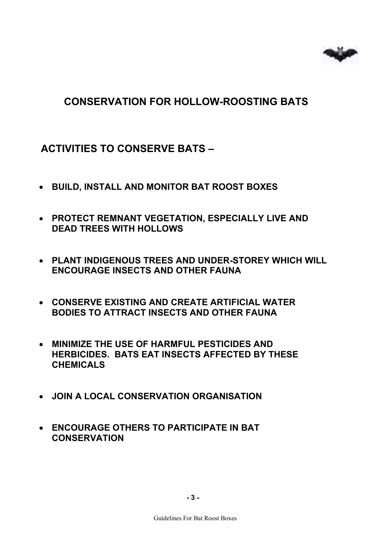# **CONSERVATION FOR HOLLOW-ROOSTING BATS**

# **ACTIVITIES TO CONSERVE BATS –**

- **BUILD, INSTALL AND MONITOR BAT ROOST BOXES**
- **PROTECT REMNANT VEGETATION, ESPECIALLY LIVE AND DEAD TREES WITH HOLLOWS**
- **PLANT INDIGENOUS TREES AND UNDER-STOREY WHICH WILL ENCOURAGE INSECTS AND OTHER FAUNA**
- **CONSERVE EXISTING AND CREATE ARTIFICIAL WATER BODIES TO ATTRACT INSECTS AND OTHER FAUNA**
- **MINIMIZE THE USE OF HARMFUL PESTICIDES AND HERBICIDES. BATS EAT INSECTS AFFECTED BY THESE CHEMICALS**
- **JOIN A LOCAL CONSERVATION ORGANISATION**
- **ENCOURAGE OTHERS TO PARTICIPATE IN BAT CONSERVATION**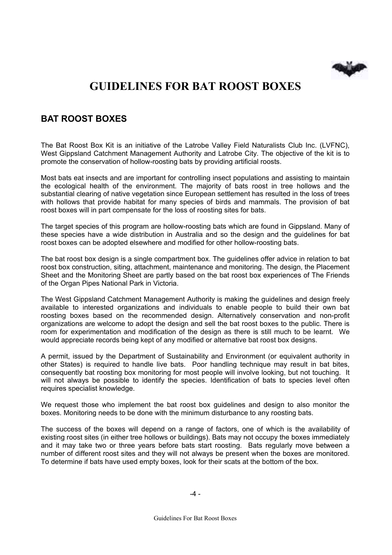

# **GUIDELINES FOR BAT ROOST BOXES**

# **BAT ROOST BOXES**

The Bat Roost Box Kit is an initiative of the Latrobe Valley Field Naturalists Club Inc. (LVFNC), West Gippsland Catchment Management Authority and Latrobe City. The objective of the kit is to promote the conservation of hollow-roosting bats by providing artificial roosts.

Most bats eat insects and are important for controlling insect populations and assisting to maintain the ecological health of the environment. The majority of bats roost in tree hollows and the substantial clearing of native vegetation since European settlement has resulted in the loss of trees with hollows that provide habitat for many species of birds and mammals. The provision of bat roost boxes will in part compensate for the loss of roosting sites for bats.

The target species of this program are hollow-roosting bats which are found in Gippsland. Many of these species have a wide distribution in Australia and so the design and the guidelines for bat roost boxes can be adopted elsewhere and modified for other hollow-roosting bats.

The bat roost box design is a single compartment box. The guidelines offer advice in relation to bat roost box construction, siting, attachment, maintenance and monitoring. The design, the Placement Sheet and the Monitoring Sheet are partly based on the bat roost box experiences of The Friends of the Organ Pipes National Park in Victoria.

The West Gippsland Catchment Management Authority is making the guidelines and design freely available to interested organizations and individuals to enable people to build their own bat roosting boxes based on the recommended design. Alternatively conservation and non-profit organizations are welcome to adopt the design and sell the bat roost boxes to the public. There is room for experimentation and modification of the design as there is still much to be learnt. We would appreciate records being kept of any modified or alternative bat roost box designs.

A permit, issued by the Department of Sustainability and Environment (or equivalent authority in other States) is required to handle live bats. Poor handling technique may result in bat bites, consequently bat roosting box monitoring for most people will involve looking, but not touching. It will not always be possible to identify the species. Identification of bats to species level often requires specialist knowledge.

We request those who implement the bat roost box guidelines and design to also monitor the boxes. Monitoring needs to be done with the minimum disturbance to any roosting bats.

The success of the boxes will depend on a range of factors, one of which is the availability of existing roost sites (in either tree hollows or buildings). Bats may not occupy the boxes immediately and it may take two or three years before bats start roosting. Bats regularly move between a number of different roost sites and they will not always be present when the boxes are monitored. To determine if bats have used empty boxes, look for their scats at the bottom of the box.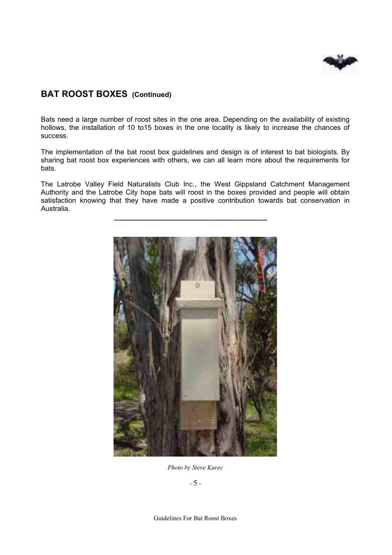

## **BAT ROOST BOXES (Continued)**

Bats need a large number of roost sites in the one area. Depending on the availability of existing hollows, the installation of 10 to15 boxes in the one locality is likely to increase the chances of success.

The implementation of the bat roost box guidelines and design is of interest to bat biologists. By sharing bat roost box experiences with others, we can all learn more about the requirements for bats.

The Latrobe Valley Field Naturalists Club Inc., the West Gippsland Catchment Management Authority and the Latrobe City hope bats will roost in the boxes provided and people will obtain satisfaction knowing that they have made a positive contribution towards bat conservation in Australia.

**\_\_\_\_\_\_\_\_\_\_\_\_\_\_\_\_\_\_\_\_\_\_\_\_\_\_\_\_\_\_\_\_\_\_\_\_\_\_\_** 



*Photo by Steve Kurec*

- 5 -

Guidelines For Bat Roost Boxes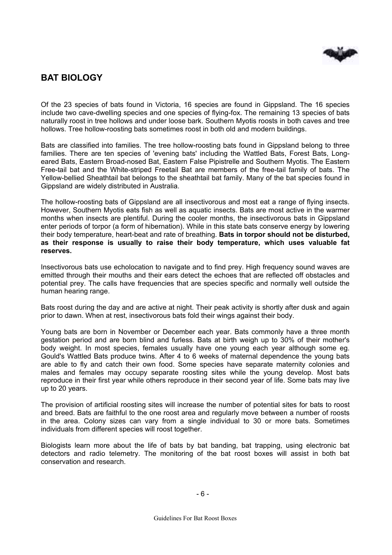

# **BAT BIOLOGY**

Of the 23 species of bats found in Victoria, 16 species are found in Gippsland. The 16 species include two cave-dwelling species and one species of flying-fox. The remaining 13 species of bats naturally roost in tree hollows and under loose bark. Southern Myotis roosts in both caves and tree hollows. Tree hollow-roosting bats sometimes roost in both old and modern buildings.

Bats are classified into families. The tree hollow-roosting bats found in Gippsland belong to three families. There are ten species of 'evening bats' including the Wattled Bats, Forest Bats, Longeared Bats, Eastern Broad-nosed Bat, Eastern False Pipistrelle and Southern Myotis. The Eastern Free-tail bat and the White-striped Freetail Bat are members of the free-tail family of bats. The Yellow-bellied Sheathtail bat belongs to the sheathtail bat family. Many of the bat species found in Gippsland are widely distributed in Australia.

The hollow-roosting bats of Gippsland are all insectivorous and most eat a range of flying insects. However, Southern Myotis eats fish as well as aquatic insects. Bats are most active in the warmer months when insects are plentiful. During the cooler months, the insectivorous bats in Gippsland enter periods of torpor (a form of hibernation). While in this state bats conserve energy by lowering their body temperature, heart-beat and rate of breathing. **Bats in torpor should not be disturbed, as their response is usually to raise their body temperature, which uses valuable fat reserves.** 

Insectivorous bats use echolocation to navigate and to find prey. High frequency sound waves are emitted through their mouths and their ears detect the echoes that are reflected off obstacles and potential prey. The calls have frequencies that are species specific and normally well outside the human hearing range.

Bats roost during the day and are active at night. Their peak activity is shortly after dusk and again prior to dawn. When at rest, insectivorous bats fold their wings against their body.

Young bats are born in November or December each year. Bats commonly have a three month gestation period and are born blind and furless. Bats at birth weigh up to 30% of their mother's body weight. In most species, females usually have one young each year although some eg. Gould's Wattled Bats produce twins. After 4 to 6 weeks of maternal dependence the young bats are able to fly and catch their own food. Some species have separate maternity colonies and males and females may occupy separate roosting sites while the young develop. Most bats reproduce in their first year while others reproduce in their second year of life. Some bats may live up to 20 years.

The provision of artificial roosting sites will increase the number of potential sites for bats to roost and breed. Bats are faithful to the one roost area and regularly move between a number of roosts in the area. Colony sizes can vary from a single individual to 30 or more bats. Sometimes individuals from different species will roost together.

Biologists learn more about the life of bats by bat banding, bat trapping, using electronic bat detectors and radio telemetry. The monitoring of the bat roost boxes will assist in both bat conservation and research.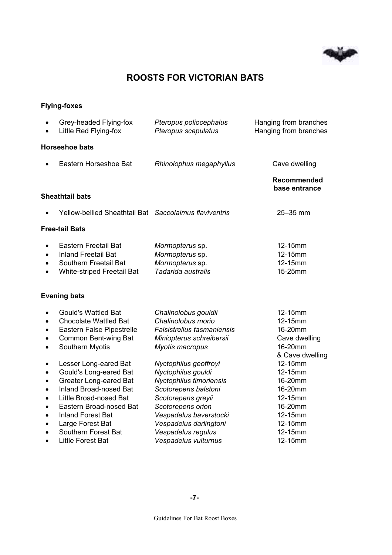

# **ROOSTS FOR VICTORIAN BATS**

### **Flying-foxes**

| $\bullet$<br>$\bullet$                                                     | Grey-headed Flying-fox<br>Little Red Flying-fox                                                                                                                                                                                        | Pteropus poliocephalus<br>Pteropus scapulatus                                                                                                                                                                       | Hanging from branches<br>Hanging from branches                                                  |
|----------------------------------------------------------------------------|----------------------------------------------------------------------------------------------------------------------------------------------------------------------------------------------------------------------------------------|---------------------------------------------------------------------------------------------------------------------------------------------------------------------------------------------------------------------|-------------------------------------------------------------------------------------------------|
|                                                                            | <b>Horseshoe bats</b>                                                                                                                                                                                                                  |                                                                                                                                                                                                                     |                                                                                                 |
|                                                                            | Eastern Horseshoe Bat                                                                                                                                                                                                                  | Rhinolophus megaphyllus                                                                                                                                                                                             | Cave dwelling                                                                                   |
|                                                                            |                                                                                                                                                                                                                                        |                                                                                                                                                                                                                     | <b>Recommended</b><br>base entrance                                                             |
|                                                                            | <b>Sheathtail bats</b>                                                                                                                                                                                                                 |                                                                                                                                                                                                                     |                                                                                                 |
|                                                                            | Yellow-bellied Sheathtail Bat Saccolaimus flaviventris                                                                                                                                                                                 |                                                                                                                                                                                                                     | 25-35 mm                                                                                        |
|                                                                            | <b>Free-tail Bats</b>                                                                                                                                                                                                                  |                                                                                                                                                                                                                     |                                                                                                 |
| $\bullet$<br>$\bullet$<br>$\bullet$                                        | Eastern Freetail Bat<br><b>Inland Freetail Bat</b><br>Southern Freetail Bat<br>White-striped Freetail Bat                                                                                                                              | Mormopterus sp.<br>Mormopterus sp.<br>Mormopterus sp.<br>Tadarida australis                                                                                                                                         | 12-15mm<br>12-15mm<br>12-15mm<br>15-25mm                                                        |
|                                                                            | <b>Evening bats</b>                                                                                                                                                                                                                    |                                                                                                                                                                                                                     |                                                                                                 |
| $\bullet$<br>$\bullet$<br>$\bullet$<br>$\bullet$                           | <b>Gould's Wattled Bat</b><br><b>Chocolate Wattled Bat</b><br>Eastern False Pipestrelle<br>Common Bent-wing Bat<br>Southern Myotis                                                                                                     | Chalinolobus gouldii<br>Chalinolobus morio<br><b>Falsistrellus tasmaniensis</b><br>Miniopterus schreibersii<br>Myotis macropus                                                                                      | 12-15mm<br>12-15mm<br>16-20mm<br>Cave dwelling<br>16-20mm<br>& Cave dwelling                    |
| $\bullet$<br>$\bullet$<br>$\bullet$<br>$\bullet$<br>$\bullet$<br>$\bullet$ | Lesser Long-eared Bat<br>Gould's Long-eared Bat<br><b>Greater Long-eared Bat</b><br>Inland Broad-nosed Bat<br>Little Broad-nosed Bat<br>Eastern Broad-nosed Bat<br><b>Inland Forest Bat</b><br>Large Forest Bat<br>Southern Forest Bat | Nyctophilus geoffroyi<br>Nyctophilus gouldi<br>Nyctophilus timoriensis<br>Scotorepens balstoni<br>Scotorepens greyii<br>Scotorepens orion<br>Vespadelus baverstocki<br>Vespadelus darlingtoni<br>Vespadelus regulus | 12-15mm<br>12-15mm<br>16-20mm<br>16-20mm<br>12-15mm<br>16-20mm<br>12-15mm<br>12-15mm<br>12-15mm |
| $\bullet$                                                                  | <b>Little Forest Bat</b>                                                                                                                                                                                                               | Vespadelus vulturnus                                                                                                                                                                                                | 12-15mm                                                                                         |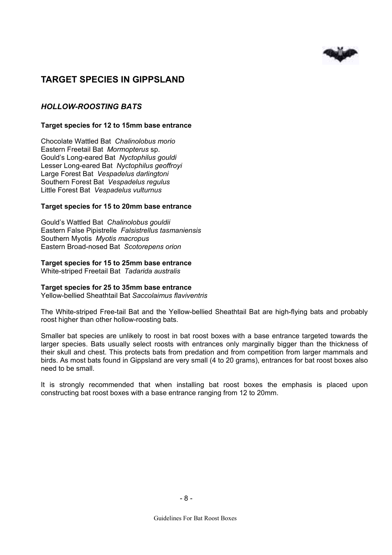

# **TARGET SPECIES IN GIPPSLAND**

### *HOLLOW-ROOSTING BATS*

#### **Target species for 12 to 15mm base entrance**

Chocolate Wattled Bat *Chalinolobus morio*  Eastern Freetail Bat *Mormopterus* sp. Gould's Long-eared Bat *Nyctophilus gouldi*  Lesser Long-eared Bat *Nyctophilus geoffroyi*  Large Forest Bat *Vespadelus darlingtoni*  Southern Forest Bat *Vespadelus regulus*  Little Forest Bat *Vespadelus vulturnus* 

#### **Target species for 15 to 20mm base entrance**

Gould's Wattled Bat *Chalinolobus gouldii*  Eastern False Pipistrelle *Falsistrellus tasmaniensis*  Southern Myotis *Myotis macropus*  Eastern Broad-nosed Bat *Scotorepens orion* 

#### **Target species for 15 to 25mm base entrance**

White-striped Freetail Bat *Tadarida australis* 

#### **Target species for 25 to 35mm base entrance**

Yellow-bellied Sheathtail Bat *Saccolaimus flaviventris* 

The White-striped Free-tail Bat and the Yellow-bellied Sheathtail Bat are high-flying bats and probably roost higher than other hollow-roosting bats.

Smaller bat species are unlikely to roost in bat roost boxes with a base entrance targeted towards the larger species. Bats usually select roosts with entrances only marginally bigger than the thickness of their skull and chest. This protects bats from predation and from competition from larger mammals and birds. As most bats found in Gippsland are very small (4 to 20 grams), entrances for bat roost boxes also need to be small.

It is strongly recommended that when installing bat roost boxes the emphasis is placed upon constructing bat roost boxes with a base entrance ranging from 12 to 20mm.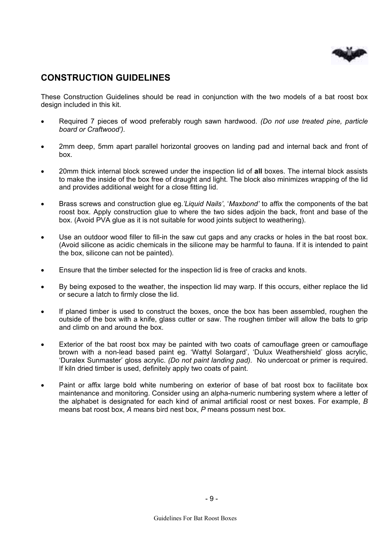

# **CONSTRUCTION GUIDELINES**

These Construction Guidelines should be read in conjunction with the two models of a bat roost box design included in this kit.

- Required 7 pieces of wood preferably rough sawn hardwood. *(Do not use treated pine, particle board or Craftwood').*
- 2mm deep, 5mm apart parallel horizontal grooves on landing pad and internal back and front of box.
- 20mm thick internal block screwed under the inspection lid of **all** boxes. The internal block assists to make the inside of the box free of draught and light. The block also minimizes wrapping of the lid and provides additional weight for a close fitting lid.
- Brass screws and construction glue eg.*'Liquid Nails'*, '*Maxbond'* to affix the components of the bat roost box. Apply construction glue to where the two sides adjoin the back, front and base of the box. (Avoid PVA glue as it is not suitable for wood joints subject to weathering).
- Use an outdoor wood filler to fill-in the saw cut gaps and any cracks or holes in the bat roost box. (Avoid silicone as acidic chemicals in the silicone may be harmful to fauna. If it is intended to paint the box, silicone can not be painted).
- Ensure that the timber selected for the inspection lid is free of cracks and knots.
- By being exposed to the weather, the inspection lid may warp. If this occurs, either replace the lid or secure a latch to firmly close the lid.
- If planed timber is used to construct the boxes, once the box has been assembled, roughen the outside of the box with a knife, glass cutter or saw. The roughen timber will allow the bats to grip and climb on and around the box.
- Exterior of the bat roost box may be painted with two coats of camouflage green or camouflage brown with a non-lead based paint eg. 'Wattyl Solargard', 'Dulux Weathershield' gloss acrylic, 'Duralex Sunmaster' gloss acrylic. *(Do not paint landing pad).* No undercoat or primer is required. If kiln dried timber is used, definitely apply two coats of paint.
- Paint or affix large bold white numbering on exterior of base of bat roost box to facilitate box maintenance and monitoring. Consider using an alpha-numeric numbering system where a letter of the alphabet is designated for each kind of animal artificial roost or nest boxes. For example, *B*  means bat roost box, *A* means bird nest box, *P* means possum nest box.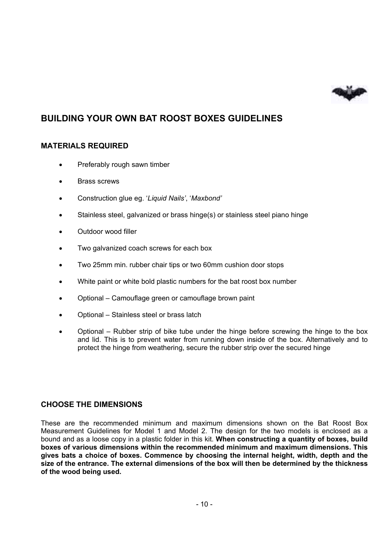

# **BUILDING YOUR OWN BAT ROOST BOXES GUIDELINES**

### **MATERIALS REQUIRED**

- Preferably rough sawn timber
- Brass screws
- Construction glue eg. '*Liquid Nails'*, '*Maxbond'*
- Stainless steel, galvanized or brass hinge(s) or stainless steel piano hinge
- Outdoor wood filler
- Two galvanized coach screws for each box
- Two 25mm min. rubber chair tips or two 60mm cushion door stops
- White paint or white bold plastic numbers for the bat roost box number
- Optional Camouflage green or camouflage brown paint
- Optional Stainless steel or brass latch
- Optional Rubber strip of bike tube under the hinge before screwing the hinge to the box and lid. This is to prevent water from running down inside of the box. Alternatively and to protect the hinge from weathering, secure the rubber strip over the secured hinge

### **CHOOSE THE DIMENSIONS**

These are the recommended minimum and maximum dimensions shown on the Bat Roost Box Measurement Guidelines for Model 1 and Model 2. The design for the two models is enclosed as a bound and as a loose copy in a plastic folder in this kit. **When constructing a quantity of boxes, build boxes of various dimensions within the recommended minimum and maximum dimensions. This gives bats a choice of boxes. Commence by choosing the internal height, width, depth and the size of the entrance. The external dimensions of the box will then be determined by the thickness of the wood being used.**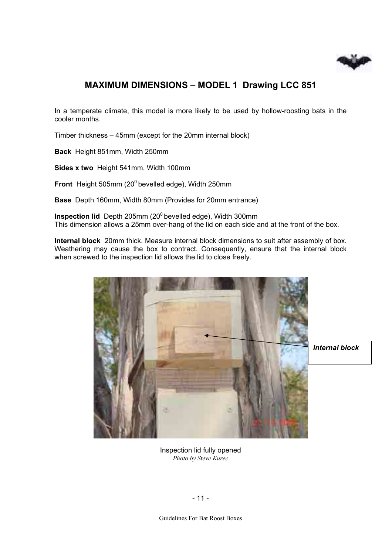

# **MAXIMUM DIMENSIONS – MODEL 1 Drawing LCC 851**

In a temperate climate, this model is more likely to be used by hollow-roosting bats in the cooler months.

Timber thickness – 45mm (except for the 20mm internal block)

**Back** Height 851mm, Width 250mm

**Sides x two** Height 541mm, Width 100mm

**Front** Height 505mm (20<sup>0</sup> bevelled edge), Width 250mm

**Base** Depth 160mm, Width 80mm (Provides for 20mm entrance)

**Inspection lid** Depth 205mm (20<sup>0</sup> bevelled edge), Width 300mm This dimension allows a 25mm over-hang of the lid on each side and at the front of the box.

**Internal block** 20mm thick. Measure internal block dimensions to suit after assembly of box. Weathering may cause the box to contract. Consequently, ensure that the internal block when screwed to the inspection lid allows the lid to close freely.



*Internal block*

Inspection lid fully opened *Photo by Steve Kurec*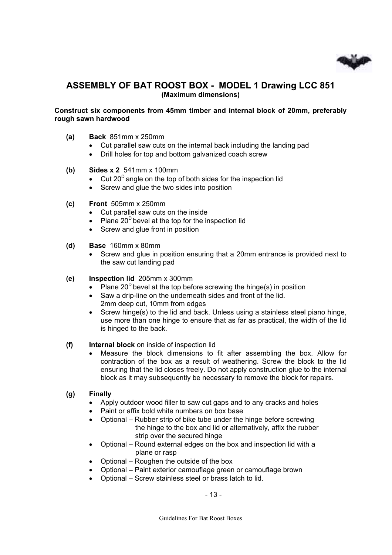

### **ASSEMBLY OF BAT ROOST BOX - MODEL 1 Drawing LCC 851 (Maximum dimensions)**

#### **Construct six components from 45mm timber and internal block of 20mm, preferably rough sawn hardwood**

- **(a) Back** 851mm x 250mm
	- Cut parallel saw cuts on the internal back including the landing pad
	- Drill holes for top and bottom galvanized coach screw
- **(b) Sides x 2** 541mm x 100mm
	- Cut  $20^D$  angle on the top of both sides for the inspection lid
	- Screw and glue the two sides into position
- **(c) Front** 505mm x 250mm
	- Cut parallel saw cuts on the inside
	- Plane  $20^D$  bevel at the top for the inspection lid
	- Screw and glue front in position
- **(d) Base** 160mm x 80mm
	- Screw and glue in position ensuring that a 20mm entrance is provided next to the saw cut landing pad
- **(e) Inspection lid** 205mm x 300mm
	- Plane  $20^D$  bevel at the top before screwing the hinge(s) in position
	- Saw a drip-line on the underneath sides and front of the lid.
		- 2mm deep cut, 10mm from edges
	- Screw hinge(s) to the lid and back. Unless using a stainless steel piano hinge, use more than one hinge to ensure that as far as practical, the width of the lid is hinged to the back.

#### **(f) Internal block** on inside of inspection lid

• Measure the block dimensions to fit after assembling the box. Allow for contraction of the box as a result of weathering. Screw the block to the lid ensuring that the lid closes freely. Do not apply construction glue to the internal block as it may subsequently be necessary to remove the block for repairs.

#### **(g) Finally**

- Apply outdoor wood filler to saw cut gaps and to any cracks and holes
- Paint or affix bold white numbers on box base
- Optional Rubber strip of bike tube under the hinge before screwing the hinge to the box and lid or alternatively, affix the rubber strip over the secured hinge
- Optional Round external edges on the box and inspection lid with a plane or rasp
- Optional Roughen the outside of the box
- Optional Paint exterior camouflage green or camouflage brown
- Optional Screw stainless steel or brass latch to lid.

- 13 -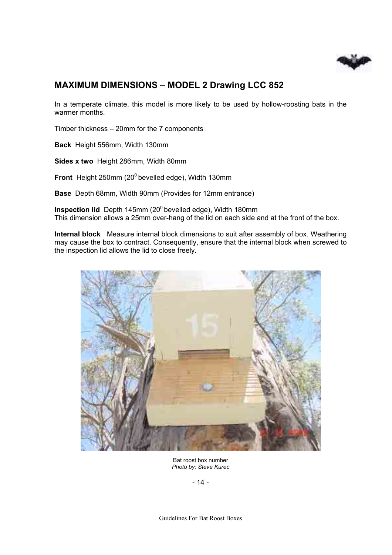

# **MAXIMUM DIMENSIONS – MODEL 2 Drawing LCC 852**

In a temperate climate, this model is more likely to be used by hollow-roosting bats in the warmer months.

Timber thickness – 20mm for the 7 components

**Back** Height 556mm, Width 130mm

**Sides x two** Height 286mm, Width 80mm

**Front** Height 250mm (20<sup>0</sup> bevelled edge), Width 130mm

**Base** Depth 68mm, Width 90mm (Provides for 12mm entrance)

**Inspection lid** Depth 145mm (20<sup>0</sup> bevelled edge), Width 180mm This dimension allows a 25mm over-hang of the lid on each side and at the front of the box.

**Internal block** Measure internal block dimensions to suit after assembly of box. Weathering may cause the box to contract. Consequently, ensure that the internal block when screwed to the inspection lid allows the lid to close freely.



Bat roost box number *Photo by: Steve Kurec* 

- 14 -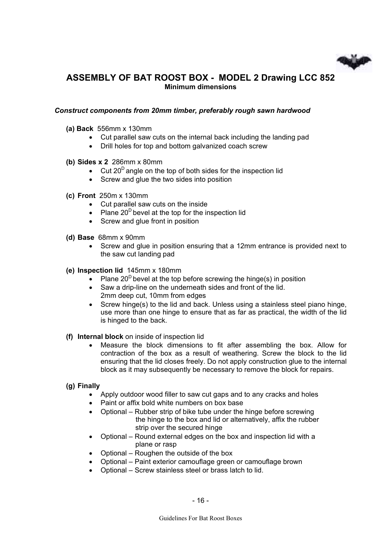

# **ASSEMBLY OF BAT ROOST BOX - MODEL 2 Drawing LCC 852 Minimum dimensions**

#### *Construct components from 20mm timber, preferably rough sawn hardwood*

- **(a) Back** 556mm x 130mm
	- Cut parallel saw cuts on the internal back including the landing pad
		- Drill holes for top and bottom galvanized coach screw
- **(b) Sides x 2** 286mm x 80mm
	- Cut  $20^D$  angle on the top of both sides for the inspection lid
	- Screw and glue the two sides into position
- **(c) Front** 250m x 130mm
	- Cut parallel saw cuts on the inside
	- Plane  $20^D$  bevel at the top for the inspection lid
	- Screw and glue front in position
- **(d) Base** 68mm x 90mm
	- Screw and glue in position ensuring that a 12mm entrance is provided next to the saw cut landing pad
- **(e) Inspection lid** 145mm x 180mm
	- Plane  $20^D$  bevel at the top before screwing the hinge(s) in position
	- Saw a drip-line on the underneath sides and front of the lid. 2mm deep cut, 10mm from edges
	- Screw hinge(s) to the lid and back. Unless using a stainless steel piano hinge, use more than one hinge to ensure that as far as practical, the width of the lid is hinged to the back.

#### **(f) Internal block** on inside of inspection lid

• Measure the block dimensions to fit after assembling the box. Allow for contraction of the box as a result of weathering. Screw the block to the lid ensuring that the lid closes freely. Do not apply construction glue to the internal block as it may subsequently be necessary to remove the block for repairs.

#### **(g) Finally**

- Apply outdoor wood filler to saw cut gaps and to any cracks and holes
- Paint or affix bold white numbers on box base
- Optional Rubber strip of bike tube under the hinge before screwing the hinge to the box and lid or alternatively, affix the rubber strip over the secured hinge
- Optional Round external edges on the box and inspection lid with a plane or rasp
- Optional Roughen the outside of the box
- Optional Paint exterior camouflage green or camouflage brown
- Optional Screw stainless steel or brass latch to lid.

- 16 -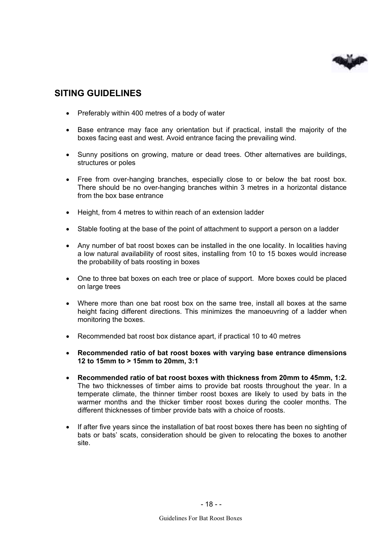

# **SITING GUIDELINES**

- Preferably within 400 metres of a body of water
- Base entrance may face any orientation but if practical, install the majority of the boxes facing east and west. Avoid entrance facing the prevailing wind.
- Sunny positions on growing, mature or dead trees. Other alternatives are buildings, structures or poles
- Free from over-hanging branches, especially close to or below the bat roost box. There should be no over-hanging branches within 3 metres in a horizontal distance from the box base entrance
- Height, from 4 metres to within reach of an extension ladder
- Stable footing at the base of the point of attachment to support a person on a ladder
- Any number of bat roost boxes can be installed in the one locality. In localities having a low natural availability of roost sites, installing from 10 to 15 boxes would increase the probability of bats roosting in boxes
- One to three bat boxes on each tree or place of support. More boxes could be placed on large trees
- Where more than one bat roost box on the same tree, install all boxes at the same height facing different directions. This minimizes the manoeuvring of a ladder when monitoring the boxes.
- Recommended bat roost box distance apart, if practical 10 to 40 metres
- **Recommended ratio of bat roost boxes with varying base entrance dimensions 12 to 15mm to > 15mm to 20mm, 3:1**
- **Recommended ratio of bat roost boxes with thickness from 20mm to 45mm, 1:2.**  The two thicknesses of timber aims to provide bat roosts throughout the year. In a temperate climate, the thinner timber roost boxes are likely to used by bats in the warmer months and the thicker timber roost boxes during the cooler months. The different thicknesses of timber provide bats with a choice of roosts.
- If after five years since the installation of bat roost boxes there has been no sighting of bats or bats' scats, consideration should be given to relocating the boxes to another site.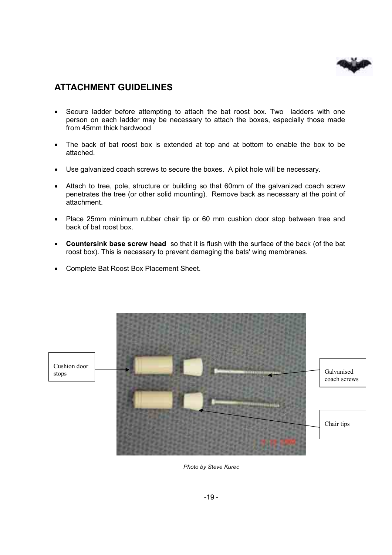

# **ATTACHMENT GUIDELINES**

- Secure ladder before attempting to attach the bat roost box. Two ladders with one person on each ladder may be necessary to attach the boxes, especially those made from 45mm thick hardwood
- The back of bat roost box is extended at top and at bottom to enable the box to be attached.
- Use galvanized coach screws to secure the boxes. A pilot hole will be necessary.
- Attach to tree, pole, structure or building so that 60mm of the galvanized coach screw penetrates the tree (or other solid mounting). Remove back as necessary at the point of attachment.
- Place 25mm minimum rubber chair tip or 60 mm cushion door stop between tree and back of bat roost box.
- **Countersink base screw head** so that it is flush with the surface of the back (of the bat roost box). This is necessary to prevent damaging the bats' wing membranes.
- Complete Bat Roost Box Placement Sheet.



*Photo by Steve Kurec*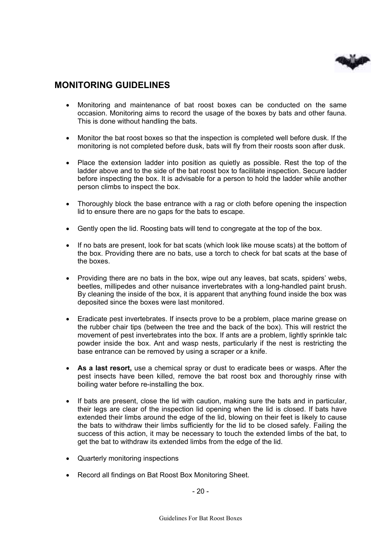

### **MONITORING GUIDELINES**

- Monitoring and maintenance of bat roost boxes can be conducted on the same occasion. Monitoring aims to record the usage of the boxes by bats and other fauna. This is done without handling the bats.
- Monitor the bat roost boxes so that the inspection is completed well before dusk. If the monitoring is not completed before dusk, bats will fly from their roosts soon after dusk.
- Place the extension ladder into position as quietly as possible. Rest the top of the ladder above and to the side of the bat roost box to facilitate inspection. Secure ladder before inspecting the box. It is advisable for a person to hold the ladder while another person climbs to inspect the box.
- Thoroughly block the base entrance with a rag or cloth before opening the inspection lid to ensure there are no gaps for the bats to escape.
- Gently open the lid. Roosting bats will tend to congregate at the top of the box.
- If no bats are present, look for bat scats (which look like mouse scats) at the bottom of the box. Providing there are no bats, use a torch to check for bat scats at the base of the boxes.
- Providing there are no bats in the box, wipe out any leaves, bat scats, spiders' webs, beetles, millipedes and other nuisance invertebrates with a long-handled paint brush. By cleaning the inside of the box, it is apparent that anything found inside the box was deposited since the boxes were last monitored.
- Eradicate pest invertebrates. If insects prove to be a problem, place marine grease on the rubber chair tips (between the tree and the back of the box). This will restrict the movement of pest invertebrates into the box. If ants are a problem, lightly sprinkle talc powder inside the box. Ant and wasp nests, particularly if the nest is restricting the base entrance can be removed by using a scraper or a knife.
- **As a last resort,** use a chemical spray or dust to eradicate bees or wasps. After the pest insects have been killed, remove the bat roost box and thoroughly rinse with boiling water before re-installing the box.
- If bats are present, close the lid with caution, making sure the bats and in particular, their legs are clear of the inspection lid opening when the lid is closed. If bats have extended their limbs around the edge of the lid, blowing on their feet is likely to cause the bats to withdraw their limbs sufficiently for the lid to be closed safely. Failing the success of this action, it may be necessary to touch the extended limbs of the bat, to get the bat to withdraw its extended limbs from the edge of the lid.
- Quarterly monitoring inspections
- Record all findings on Bat Roost Box Monitoring Sheet.

- 20 -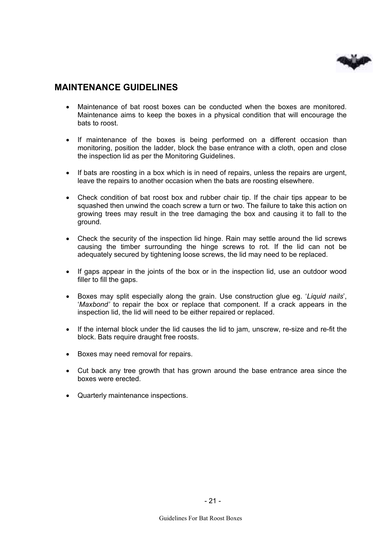

### **MAINTENANCE GUIDELINES**

- Maintenance of bat roost boxes can be conducted when the boxes are monitored. Maintenance aims to keep the boxes in a physical condition that will encourage the bats to roost.
- If maintenance of the boxes is being performed on a different occasion than monitoring, position the ladder, block the base entrance with a cloth, open and close the inspection lid as per the Monitoring Guidelines.
- If bats are roosting in a box which is in need of repairs, unless the repairs are urgent, leave the repairs to another occasion when the bats are roosting elsewhere.
- Check condition of bat roost box and rubber chair tip. If the chair tips appear to be squashed then unwind the coach screw a turn or two. The failure to take this action on growing trees may result in the tree damaging the box and causing it to fall to the ground.
- Check the security of the inspection lid hinge. Rain may settle around the lid screws causing the timber surrounding the hinge screws to rot. If the lid can not be adequately secured by tightening loose screws, the lid may need to be replaced.
- If gaps appear in the joints of the box or in the inspection lid, use an outdoor wood filler to fill the gaps.
- Boxes may split especially along the grain. Use construction glue eg. '*Liquid nails*', '*Maxbond'* to repair the box or replace that component. If a crack appears in the inspection lid, the lid will need to be either repaired or replaced.
- If the internal block under the lid causes the lid to jam, unscrew, re-size and re-fit the block. Bats require draught free roosts.
- Boxes may need removal for repairs.
- Cut back any tree growth that has grown around the base entrance area since the boxes were erected.
- Quarterly maintenance inspections.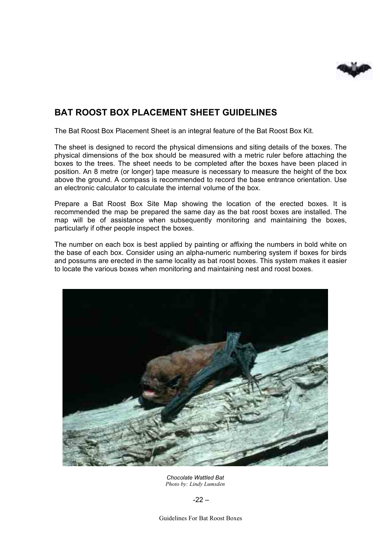

# **BAT ROOST BOX PLACEMENT SHEET GUIDELINES**

The Bat Roost Box Placement Sheet is an integral feature of the Bat Roost Box Kit.

The sheet is designed to record the physical dimensions and siting details of the boxes. The physical dimensions of the box should be measured with a metric ruler before attaching the boxes to the trees. The sheet needs to be completed after the boxes have been placed in position. An 8 metre (or longer) tape measure is necessary to measure the height of the box above the ground. A compass is recommended to record the base entrance orientation. Use an electronic calculator to calculate the internal volume of the box.

Prepare a Bat Roost Box Site Map showing the location of the erected boxes. It is recommended the map be prepared the same day as the bat roost boxes are installed. The map will be of assistance when subsequently monitoring and maintaining the boxes, particularly if other people inspect the boxes.

The number on each box is best applied by painting or affixing the numbers in bold white on the base of each box. Consider using an alpha-numeric numbering system if boxes for birds and possums are erected in the same locality as bat roost boxes. This system makes it easier to locate the various boxes when monitoring and maintaining nest and roost boxes.



*Chocolate Wattled Bat Photo by: Lindy Lumsden* 

 $-22 -$ 

Guidelines For Bat Roost Boxes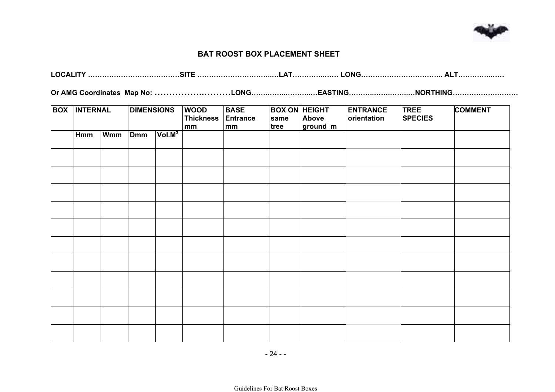

#### **BAT ROOST BOX PLACEMENT SHEET**

**LOCALITY …………………………………SITE …………………………..…LAT…………..…… LONG…………………………….. ALT…………..……** 

**Or AMG Coordinates Map No: ……………..………LONG…….……..………..…EASTING………..…….……..…NORTHING……………….………** 

| <b>BOX</b> | <b>INTERNAL</b> |            |            |                    | <b>DIMENSIONS</b> |  | <b>WOOD</b><br><b>Thickness</b><br>mm | <b>BASE</b><br><b>Entrance</b><br>mm | <b>BOX ON HEIGHT</b><br>same<br>tree | Above<br>ground m | <b>ENTRANCE</b><br>orientation | <b>TREE</b><br><b>SPECIES</b> | <b>COMMENT</b> |
|------------|-----------------|------------|------------|--------------------|-------------------|--|---------------------------------------|--------------------------------------|--------------------------------------|-------------------|--------------------------------|-------------------------------|----------------|
|            | Hmm             | <b>Wmm</b> | <b>Dmm</b> | Vol.M <sup>3</sup> |                   |  |                                       |                                      |                                      |                   |                                |                               |                |
|            |                 |            |            |                    |                   |  |                                       |                                      |                                      |                   |                                |                               |                |
|            |                 |            |            |                    |                   |  |                                       |                                      |                                      |                   |                                |                               |                |
|            |                 |            |            |                    |                   |  |                                       |                                      |                                      |                   |                                |                               |                |
|            |                 |            |            |                    |                   |  |                                       |                                      |                                      |                   |                                |                               |                |
|            |                 |            |            |                    |                   |  |                                       |                                      |                                      |                   |                                |                               |                |
|            |                 |            |            |                    |                   |  |                                       |                                      |                                      |                   |                                |                               |                |
|            |                 |            |            |                    |                   |  |                                       |                                      |                                      |                   |                                |                               |                |
|            |                 |            |            |                    |                   |  |                                       |                                      |                                      |                   |                                |                               |                |
|            |                 |            |            |                    |                   |  |                                       |                                      |                                      |                   |                                |                               |                |
|            |                 |            |            |                    |                   |  |                                       |                                      |                                      |                   |                                |                               |                |
|            |                 |            |            |                    |                   |  |                                       |                                      |                                      |                   |                                |                               |                |
|            |                 |            |            |                    |                   |  |                                       |                                      |                                      |                   |                                |                               |                |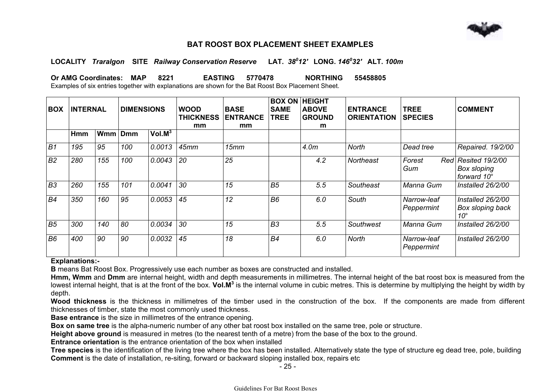

#### **BAT ROOST BOX PLACEMENT SHEET EXAMPLES**

#### **LOCALITY** *Traralgon* **SITE** *Railway Conservation Reserve* **LAT.** *38012'* **LONG.** *146032'* **ALT.** *100m*

**Or AMG Coordinates: MAP 8221 EASTING 5770478 NORTHING 55458805** 

Examples of six entries together with explanations are shown for the Bat Roost Box Placement Sheet.

| <b>BOX</b>     | <b>INTERNAL</b> |     | <b>DIMENSIONS</b> |                    | <b>WOOD</b><br><b>THICKNESS</b> | <b>BASE</b><br><b>ENTRANCE</b> | <b>SAME</b><br><b>TREE</b> | <b>BOX ON HEIGHT</b><br><b>ABOVE</b><br><b>GROUND</b> | <b>ENTRANCE</b><br><b>ORIENTATION</b> | <b>TREE</b><br><b>SPECIES</b> | <b>COMMENT</b>                                               |
|----------------|-----------------|-----|-------------------|--------------------|---------------------------------|--------------------------------|----------------------------|-------------------------------------------------------|---------------------------------------|-------------------------------|--------------------------------------------------------------|
|                | Hmm             | Wmm | <b>Dmm</b>        | Vol.M <sup>3</sup> | mm                              | mm                             |                            | m                                                     |                                       |                               |                                                              |
|                |                 |     |                   |                    |                                 |                                |                            |                                                       |                                       |                               |                                                              |
| B <sub>1</sub> | 195             | 95  | 100               | 0.0013             | 45mm                            | 15mm                           |                            | 4.0m                                                  | North                                 | Dead tree                     | Repaired. 19/2/00                                            |
| B <sub>2</sub> | 280             | 155 | 100               | 0.0043             | 20                              | 25                             |                            | 4.2                                                   | <b>Northeast</b>                      | Forest<br>Gum                 | Red Resited 19/2/00<br><b>Box sloping</b><br>forward 10°     |
| B <sub>3</sub> | 260             | 155 | 101               | 0.0041             | 30                              | 15                             | B <sub>5</sub>             | 5.5                                                   | Southeast                             | Manna Gum                     | Installed 26/2/00                                            |
| B <sub>4</sub> | 350             | 160 | 95                | 0.0053             | 45                              | 12                             | B <sub>6</sub>             | 6.0                                                   | South                                 | Narrow-leaf<br>Peppermint     | Installed 26/2/00<br><b>Box sloping back</b><br>$10^{\circ}$ |
| B <sub>5</sub> | 300             | 140 | 80                | 0.0034             | 30                              | 15                             | B <sub>3</sub>             | 5.5                                                   | Southwest                             | Manna Gum                     | Installed 26/2/00                                            |
| B <sub>6</sub> | 400             | 90  | 90                | 0.0032             | 45                              | 18                             | B <sub>4</sub>             | 6.0                                                   | North                                 | Narrow-leaf<br>Peppermint     | Installed 26/2/00                                            |

#### **Explanations:-**

**B** means Bat Roost Box. Progressively use each number as boxes are constructed and installed.

**Hmm, Wmm** and **Dmm** are internal height, width and depth measurements in millimetres. The internal height of the bat roost box is measured from the lowest internal height, that is at the front of the box. **Vol.M<sup>3</sup>** is the internal volume in cubic metres. This is determine by multiplying the height by width by depth.

**Wood thickness** is the thickness in millimetres of the timber used in the construction of the box. If the components are made from different thicknesses of timber, state the most commonly used thickness.

**Base entrance** is the size in millimetres of the entrance opening.

**Box on same tree** is the alpha-numeric number of any other bat roost box installed on the same tree, pole or structure.

**Height above ground** is measured in metres (to the nearest tenth of a metre) from the base of the box to the ground.

**Entrance orientation** is the entrance orientation of the box when installed

**Tree species** is the identification of the living tree where the box has been installed. Alternatively state the type of structure eg dead tree, pole, building **Comment** is the date of installation, re-siting, forward or backward sloping installed box, repairs etc

- 25 -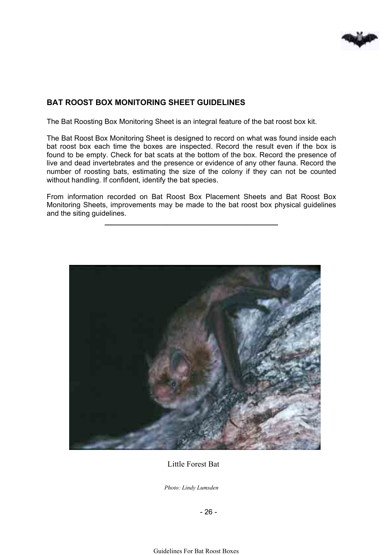

### **BAT ROOST BOX MONITORING SHEET GUIDELINES**

The Bat Roosting Box Monitoring Sheet is an integral feature of the bat roost box kit.

The Bat Roost Box Monitoring Sheet is designed to record on what was found inside each bat roost box each time the boxes are inspected. Record the result even if the box is found to be empty. Check for bat scats at the bottom of the box. Record the presence of live and dead invertebrates and the presence or evidence of any other fauna. Record the number of roosting bats, estimating the size of the colony if they can not be counted without handling. If confident, identify the bat species.

From information recorded on Bat Roost Box Placement Sheets and Bat Roost Box Monitoring Sheets, improvements may be made to the bat roost box physical guidelines and the siting guidelines.

**\_\_\_\_\_\_\_\_\_\_\_\_\_\_\_\_\_\_\_\_\_\_\_\_\_\_\_\_\_\_\_\_\_\_\_\_\_\_\_\_\_\_\_** 



Little Forest Bat

*Photo: Lindy Lumsden*

- 26 -

Guidelines For Bat Roost Boxes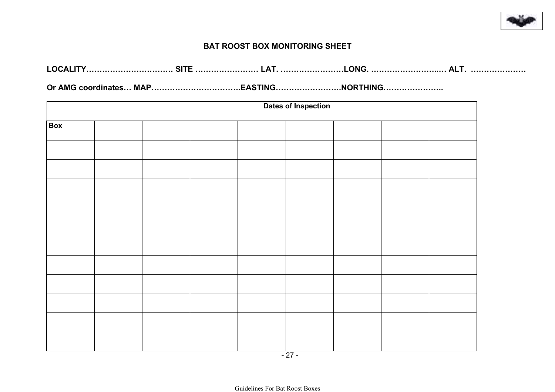

#### **BAT ROOST BOX MONITORING SHEET**

| ∟OCALITY |  |  |  | TY……………………………… SITE ……………………… LAT. ……………………LONG. …………………………… ALT.  …………………… |
|----------|--|--|--|-----------------------------------------------------------------------------|
|----------|--|--|--|-----------------------------------------------------------------------------|

**Or AMG coordinates… MAP…………………………….EASTING…………………….NORTHING…………………..** 

|            | <b>Dates of Inspection</b> |  |  |  |  |  |  |  |  |  |
|------------|----------------------------|--|--|--|--|--|--|--|--|--|
| <b>Box</b> |                            |  |  |  |  |  |  |  |  |  |
|            |                            |  |  |  |  |  |  |  |  |  |
|            |                            |  |  |  |  |  |  |  |  |  |
|            |                            |  |  |  |  |  |  |  |  |  |
|            |                            |  |  |  |  |  |  |  |  |  |
|            |                            |  |  |  |  |  |  |  |  |  |
|            |                            |  |  |  |  |  |  |  |  |  |
|            |                            |  |  |  |  |  |  |  |  |  |
|            |                            |  |  |  |  |  |  |  |  |  |
|            |                            |  |  |  |  |  |  |  |  |  |
|            |                            |  |  |  |  |  |  |  |  |  |
|            |                            |  |  |  |  |  |  |  |  |  |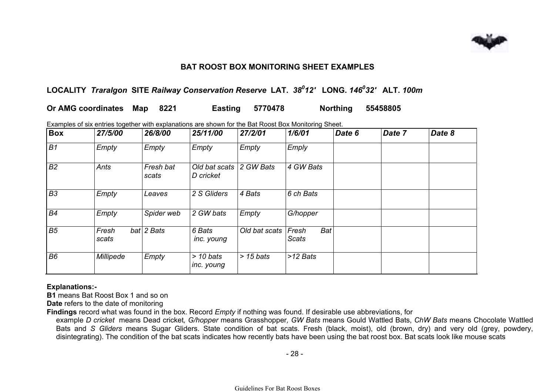

### **BAT ROOST BOX MONITORING SHEET EXAMPLES**

# **LOCALITY** *Traralgon* **SITE** *Railway Conservation Reserve* **LAT.** *38012'* **LONG.** *146032'* **ALT.** *100m*

| Or AMG coordinates Map 8221 |  |  |  | <b>Easting 5770478</b> |  | Northing 55458805 |
|-----------------------------|--|--|--|------------------------|--|-------------------|
|-----------------------------|--|--|--|------------------------|--|-------------------|

Examples of six entries together with explanations are shown for the Bat Roost Box Monitoring Sheet.

| <b>Box</b>     | 27/5/00        | 26/8/00            | 25/11/00                   | 27/2/01       | 1/6/01                              | Date 6 | Date 7 | Date 8 |
|----------------|----------------|--------------------|----------------------------|---------------|-------------------------------------|--------|--------|--------|
| B1             | Empty          | Empty              | Empty                      | Empty         | Emply                               |        |        |        |
| B <sub>2</sub> | Ants           | Fresh bat<br>scats | Old bat scats<br>D cricket | 2 GW Bats     | 4 GW Bats                           |        |        |        |
| B <sub>3</sub> | Empty          | Leaves             | 2 S Gliders                | 4 Bats        | 6 ch Bats                           |        |        |        |
| <b>B4</b>      | Empty          | Spider web         | 2 GW bats                  | Empty         | G/hopper                            |        |        |        |
| B <sub>5</sub> | Fresh<br>scats | $bat$ 2 Bats       | 6 Bats<br>inc. young       | Old bat scats | <b>Bat</b><br>Fresh<br><b>Scats</b> |        |        |        |
| B <sub>6</sub> | Millipede      | Empty              | $>$ 10 bats<br>inc. young  | $> 15$ bats   | >12 Bats                            |        |        |        |

#### **Explanations:-**

**B1** means Bat Roost Box 1 and so on

**Date** refers to the date of monitoring

**Findings** record what was found in the box. Record *Empty* if nothing was found. If desirable use abbreviations, for

example *D cricket* means Dead cricket*, G/hopper* means Grasshopper*, GW Bats* means Gould Wattled Bats, *ChW Bats* means Chocolate Wattled Bats and *S Gliders* means Sugar Gliders. State condition of bat scats. Fresh (black, moist), old (brown, dry) and very old (grey, powdery, disintegrating). The condition of the bat scats indicates how recently bats have been using the bat roost box. Bat scats look like mouse scats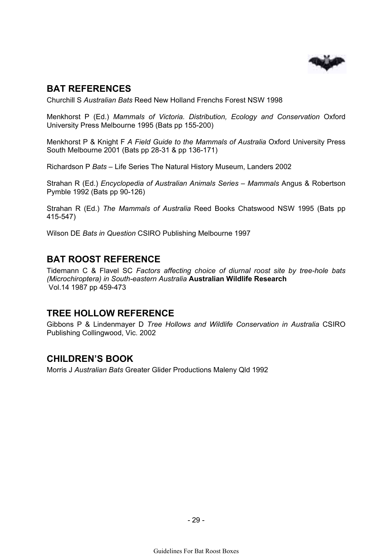

# **BAT REFERENCES**

Churchill S *Australian Bats* Reed New Holland Frenchs Forest NSW 1998

Menkhorst P (Ed.) *Mammals of Victoria. Distribution, Ecology and Conservation* Oxford University Press Melbourne 1995 (Bats pp 155-200)

Menkhorst P & Knight F *A Field Guide to the Mammals of Australia* Oxford University Press South Melbourne 2001 (Bats pp 28-31 & pp 136-171)

Richardson P *Bats –* Life Series The Natural History Museum, Landers 2002

Strahan R (Ed.) *Encyclopedia of Australian Animals Series – Mammals* Angus & Robertson Pymble 1992 (Bats pp 90-126)

Strahan R (Ed.) *The Mammals of Australia* Reed Books Chatswood NSW 1995 (Bats pp 415-547)

Wilson DE *Bats in Question* CSIRO Publishing Melbourne 1997

# **BAT ROOST REFERENCE**

Tidemann C & Flavel SC *Factors affecting choice of diurnal roost site by tree-hole bats (Microchiroptera) in South-eastern Australia* **Australian Wildlife Research**  Vol.14 1987 pp 459-473

# **TREE HOLLOW REFERENCE**

Gibbons P & Lindenmayer D *Tree Hollows and Wildlife Conservation in Australia* CSIRO Publishing Collingwood, Vic. 2002

# **CHILDREN'S BOOK**

Morris J *Australian Bats* Greater Glider Productions Maleny Qld 1992

- 29 -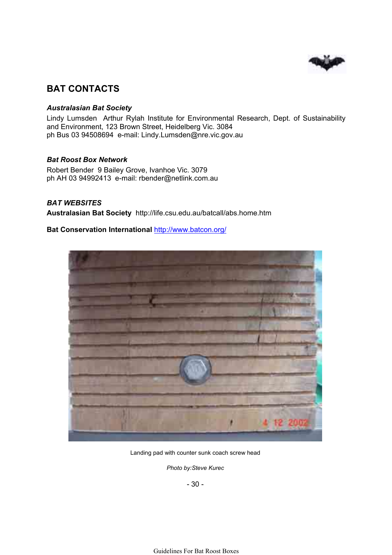

# **BAT CONTACTS**

#### *Australasian Bat Society*

Lindy Lumsden Arthur Rylah Institute for Environmental Research, Dept. of Sustainability and Environment, 123 Brown Street, Heidelberg Vic. 3084 ph Bus 03 94508694 e-mail: Lindy.Lumsden@nre.vic.gov.au

#### *Bat Roost Box Network*

Robert Bender 9 Bailey Grove, Ivanhoe Vic. 3079 ph AH 03 94992413 e-mail: rbender@netlink.com.au

#### *BAT WEBSITES*

**Australasian Bat Society** http://life.csu.edu.au/batcall/abs.home.htm

#### **Bat Conservation International** http://www.batcon.org/



Landing pad with counter sunk coach screw head

*Photo by:Steve Kurec*

- 30 -